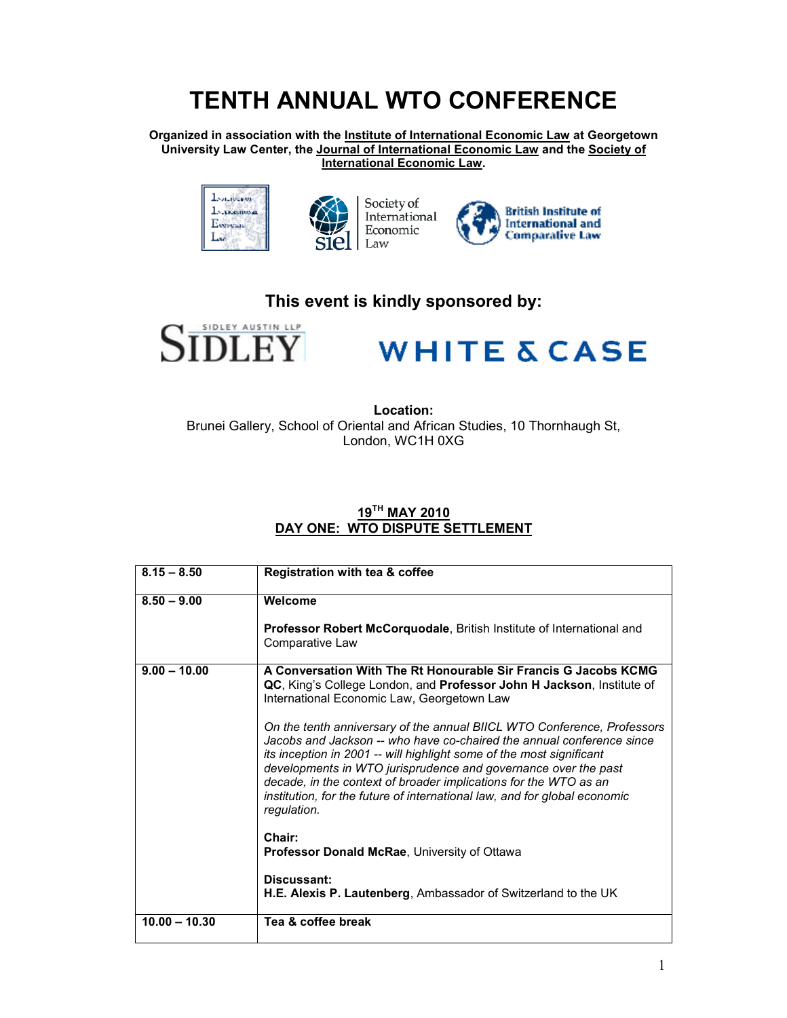## **TENTH ANNUAL WTO CONFERENCE**

**Organized in association with the Institute of International Economic Law at Georgetown University Law Center, the Journal of International Economic Law and the Society of International Economic Law.** 





Society of International Economic Law



### **This event is kindly sponsored by:**



# **WHITE & CASE**

**Location:**  Brunei Gallery, School of Oriental and African Studies, 10 Thornhaugh St, London, WC1H 0XG

### **19TH MAY 2010 DAY ONE: WTO DISPUTE SETTLEMENT**

| $8.15 - 8.50$   | Registration with tea & coffee                                                                                                                                                                                                                                                                                                                                                                                                                             |
|-----------------|------------------------------------------------------------------------------------------------------------------------------------------------------------------------------------------------------------------------------------------------------------------------------------------------------------------------------------------------------------------------------------------------------------------------------------------------------------|
| $8.50 - 9.00$   | Welcome                                                                                                                                                                                                                                                                                                                                                                                                                                                    |
|                 | <b>Professor Robert McCorquodale, British Institute of International and</b><br>Comparative Law                                                                                                                                                                                                                                                                                                                                                            |
| $9.00 - 10.00$  | A Conversation With The Rt Honourable Sir Francis G Jacobs KCMG<br>QC, King's College London, and Professor John H Jackson, Institute of<br>International Economic Law, Georgetown Law                                                                                                                                                                                                                                                                     |
|                 | On the tenth anniversary of the annual BIICL WTO Conference, Professors<br>Jacobs and Jackson -- who have co-chaired the annual conference since<br>its inception in 2001 -- will highlight some of the most significant<br>developments in WTO jurisprudence and governance over the past<br>decade, in the context of broader implications for the WTO as an<br>institution, for the future of international law, and for global economic<br>regulation. |
|                 | Chair:<br><b>Professor Donald McRae, University of Ottawa</b>                                                                                                                                                                                                                                                                                                                                                                                              |
|                 | Discussant:<br>H.E. Alexis P. Lautenberg, Ambassador of Switzerland to the UK                                                                                                                                                                                                                                                                                                                                                                              |
| $10.00 - 10.30$ | Tea & coffee break                                                                                                                                                                                                                                                                                                                                                                                                                                         |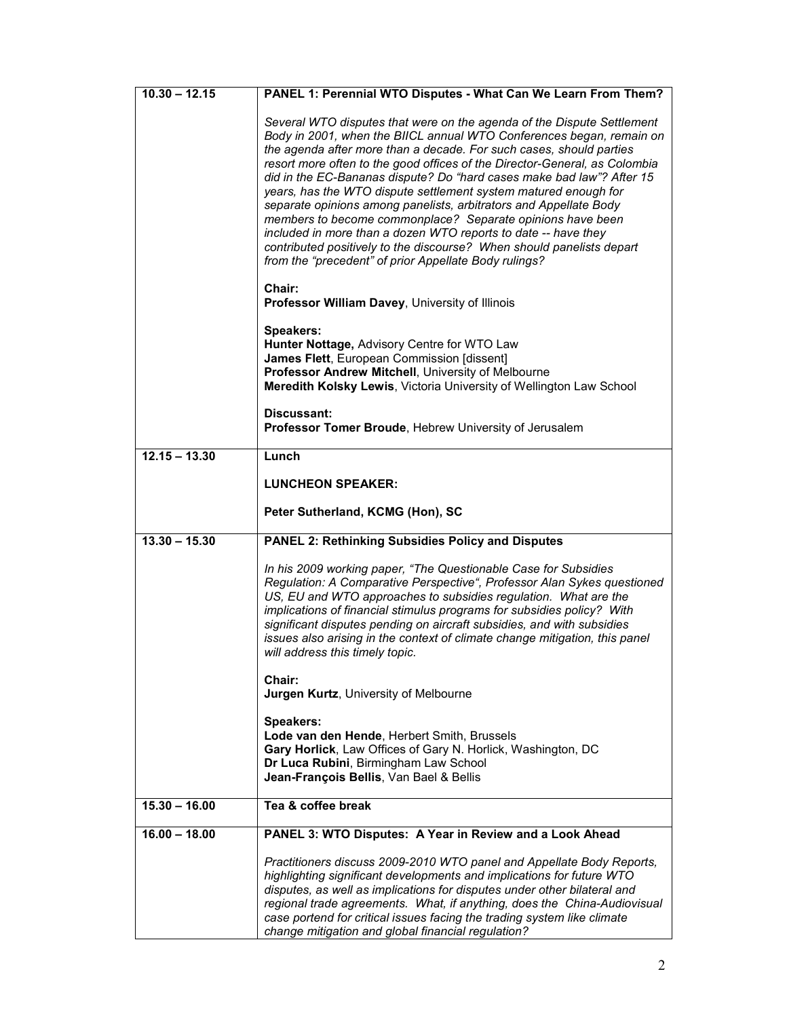| $10.30 - 12.15$ | PANEL 1: Perennial WTO Disputes - What Can We Learn From Them?                                                                                                                                                                                                                                                                                                                                                                                                                                                                                                                                                                                                                                                                                                                         |
|-----------------|----------------------------------------------------------------------------------------------------------------------------------------------------------------------------------------------------------------------------------------------------------------------------------------------------------------------------------------------------------------------------------------------------------------------------------------------------------------------------------------------------------------------------------------------------------------------------------------------------------------------------------------------------------------------------------------------------------------------------------------------------------------------------------------|
|                 | Several WTO disputes that were on the agenda of the Dispute Settlement<br>Body in 2001, when the BIICL annual WTO Conferences began, remain on<br>the agenda after more than a decade. For such cases, should parties<br>resort more often to the good offices of the Director-General, as Colombia<br>did in the EC-Bananas dispute? Do "hard cases make bad law"? After 15<br>years, has the WTO dispute settlement system matured enough for<br>separate opinions among panelists, arbitrators and Appellate Body<br>members to become commonplace? Separate opinions have been<br>included in more than a dozen WTO reports to date -- have they<br>contributed positively to the discourse? When should panelists depart<br>from the "precedent" of prior Appellate Body rulings? |
|                 | Chair:<br>Professor William Davey, University of Illinois                                                                                                                                                                                                                                                                                                                                                                                                                                                                                                                                                                                                                                                                                                                              |
|                 | <b>Speakers:</b><br>Hunter Nottage, Advisory Centre for WTO Law<br>James Flett, European Commission [dissent]<br>Professor Andrew Mitchell, University of Melbourne<br>Meredith Kolsky Lewis, Victoria University of Wellington Law School                                                                                                                                                                                                                                                                                                                                                                                                                                                                                                                                             |
|                 | Discussant:<br>Professor Tomer Broude, Hebrew University of Jerusalem                                                                                                                                                                                                                                                                                                                                                                                                                                                                                                                                                                                                                                                                                                                  |
| $12.15 - 13.30$ | Lunch                                                                                                                                                                                                                                                                                                                                                                                                                                                                                                                                                                                                                                                                                                                                                                                  |
|                 | <b>LUNCHEON SPEAKER:</b>                                                                                                                                                                                                                                                                                                                                                                                                                                                                                                                                                                                                                                                                                                                                                               |
|                 | Peter Sutherland, KCMG (Hon), SC                                                                                                                                                                                                                                                                                                                                                                                                                                                                                                                                                                                                                                                                                                                                                       |
| $13.30 - 15.30$ | <b>PANEL 2: Rethinking Subsidies Policy and Disputes</b>                                                                                                                                                                                                                                                                                                                                                                                                                                                                                                                                                                                                                                                                                                                               |
|                 | In his 2009 working paper, "The Questionable Case for Subsidies<br>Regulation: A Comparative Perspective", Professor Alan Sykes questioned<br>US, EU and WTO approaches to subsidies regulation. What are the<br>implications of financial stimulus programs for subsidies policy? With<br>significant disputes pending on aircraft subsidies, and with subsidies<br>issues also arising in the context of climate change mitigation, this panel<br>will address this timely topic.                                                                                                                                                                                                                                                                                                    |
|                 | Chair:<br>Jurgen Kurtz, University of Melbourne                                                                                                                                                                                                                                                                                                                                                                                                                                                                                                                                                                                                                                                                                                                                        |
|                 | Speakers:<br>Lode van den Hende, Herbert Smith, Brussels<br>Gary Horlick, Law Offices of Gary N. Horlick, Washington, DC<br>Dr Luca Rubini, Birmingham Law School<br>Jean-François Bellis, Van Bael & Bellis                                                                                                                                                                                                                                                                                                                                                                                                                                                                                                                                                                           |
| $15.30 - 16.00$ | Tea & coffee break                                                                                                                                                                                                                                                                                                                                                                                                                                                                                                                                                                                                                                                                                                                                                                     |
| $16.00 - 18.00$ | PANEL 3: WTO Disputes: A Year in Review and a Look Ahead                                                                                                                                                                                                                                                                                                                                                                                                                                                                                                                                                                                                                                                                                                                               |
|                 | Practitioners discuss 2009-2010 WTO panel and Appellate Body Reports,<br>highlighting significant developments and implications for future WTO<br>disputes, as well as implications for disputes under other bilateral and<br>regional trade agreements. What, if anything, does the China-Audiovisual<br>case portend for critical issues facing the trading system like climate<br>change mitigation and global financial regulation?                                                                                                                                                                                                                                                                                                                                                |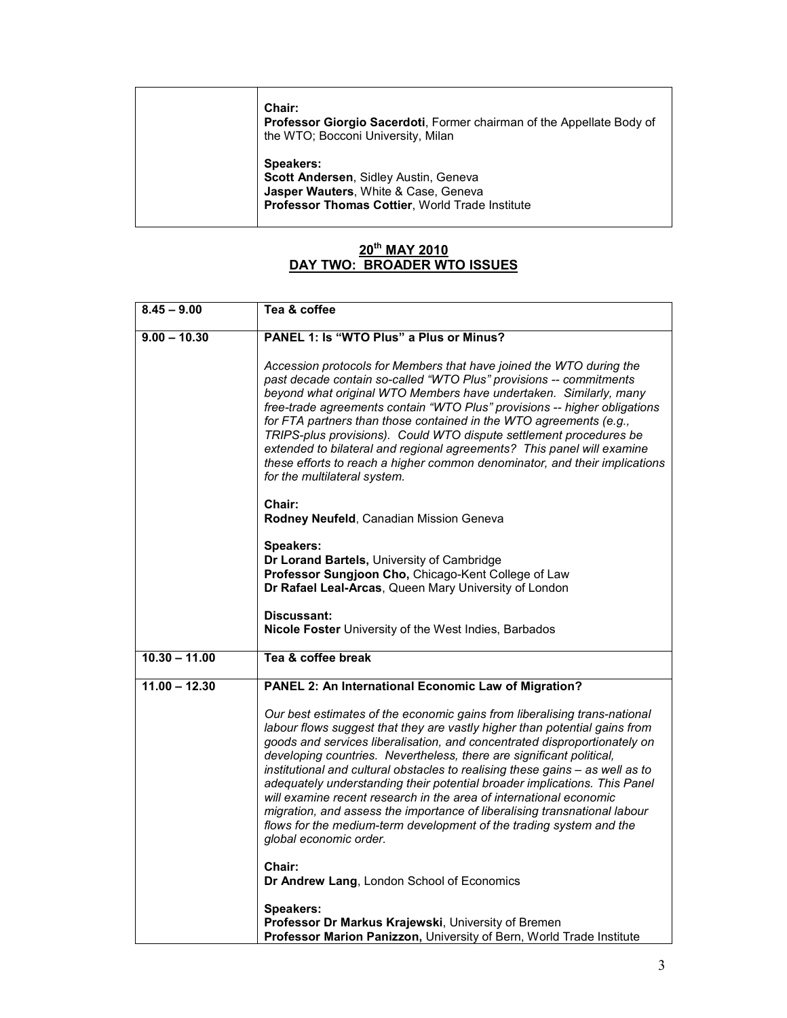|  | Chair:<br>Professor Giorgio Sacerdoti, Former chairman of the Appellate Body of<br>the WTO; Bocconi University, Milan                                |
|--|------------------------------------------------------------------------------------------------------------------------------------------------------|
|  | Speakers:<br>Scott Andersen, Sidley Austin, Geneva<br>Jasper Wauters, White & Case, Geneva<br><b>Professor Thomas Cottier, World Trade Institute</b> |

#### **20th MAY 2010 DAY TWO: BROADER WTO ISSUES**

| $8.45 - 9.00$   | Tea & coffee                                                                                                                                                                                                                                                                                                                                                                                                                                                                                                                                                                                                                                                                                                                   |
|-----------------|--------------------------------------------------------------------------------------------------------------------------------------------------------------------------------------------------------------------------------------------------------------------------------------------------------------------------------------------------------------------------------------------------------------------------------------------------------------------------------------------------------------------------------------------------------------------------------------------------------------------------------------------------------------------------------------------------------------------------------|
| $9.00 - 10.30$  | PANEL 1: Is "WTO Plus" a Plus or Minus?                                                                                                                                                                                                                                                                                                                                                                                                                                                                                                                                                                                                                                                                                        |
|                 | Accession protocols for Members that have joined the WTO during the<br>past decade contain so-called "WTO Plus" provisions -- commitments<br>beyond what original WTO Members have undertaken. Similarly, many<br>free-trade agreements contain "WTO Plus" provisions -- higher obligations<br>for FTA partners than those contained in the WTO agreements (e.g.,<br>TRIPS-plus provisions). Could WTO dispute settlement procedures be<br>extended to bilateral and regional agreements? This panel will examine<br>these efforts to reach a higher common denominator, and their implications<br>for the multilateral system.                                                                                                |
|                 | <b>Chair:</b><br>Rodney Neufeld, Canadian Mission Geneva                                                                                                                                                                                                                                                                                                                                                                                                                                                                                                                                                                                                                                                                       |
|                 | <b>Speakers:</b><br>Dr Lorand Bartels, University of Cambridge<br>Professor Sungjoon Cho, Chicago-Kent College of Law<br>Dr Rafael Leal-Arcas, Queen Mary University of London                                                                                                                                                                                                                                                                                                                                                                                                                                                                                                                                                 |
|                 | Discussant:<br>Nicole Foster University of the West Indies, Barbados                                                                                                                                                                                                                                                                                                                                                                                                                                                                                                                                                                                                                                                           |
| $10.30 - 11.00$ | Tea & coffee break                                                                                                                                                                                                                                                                                                                                                                                                                                                                                                                                                                                                                                                                                                             |
| $11.00 - 12.30$ | PANEL 2: An International Economic Law of Migration?                                                                                                                                                                                                                                                                                                                                                                                                                                                                                                                                                                                                                                                                           |
|                 | Our best estimates of the economic gains from liberalising trans-national<br>labour flows suggest that they are vastly higher than potential gains from<br>goods and services liberalisation, and concentrated disproportionately on<br>developing countries. Nevertheless, there are significant political,<br>institutional and cultural obstacles to realising these gains - as well as to<br>adequately understanding their potential broader implications. This Panel<br>will examine recent research in the area of international economic<br>migration, and assess the importance of liberalising transnational labour<br>flows for the medium-term development of the trading system and the<br>global economic order. |
|                 | Chair:<br>Dr Andrew Lang, London School of Economics                                                                                                                                                                                                                                                                                                                                                                                                                                                                                                                                                                                                                                                                           |
|                 | Speakers:<br>Professor Dr Markus Krajewski, University of Bremen<br>Professor Marion Panizzon, University of Bern, World Trade Institute                                                                                                                                                                                                                                                                                                                                                                                                                                                                                                                                                                                       |